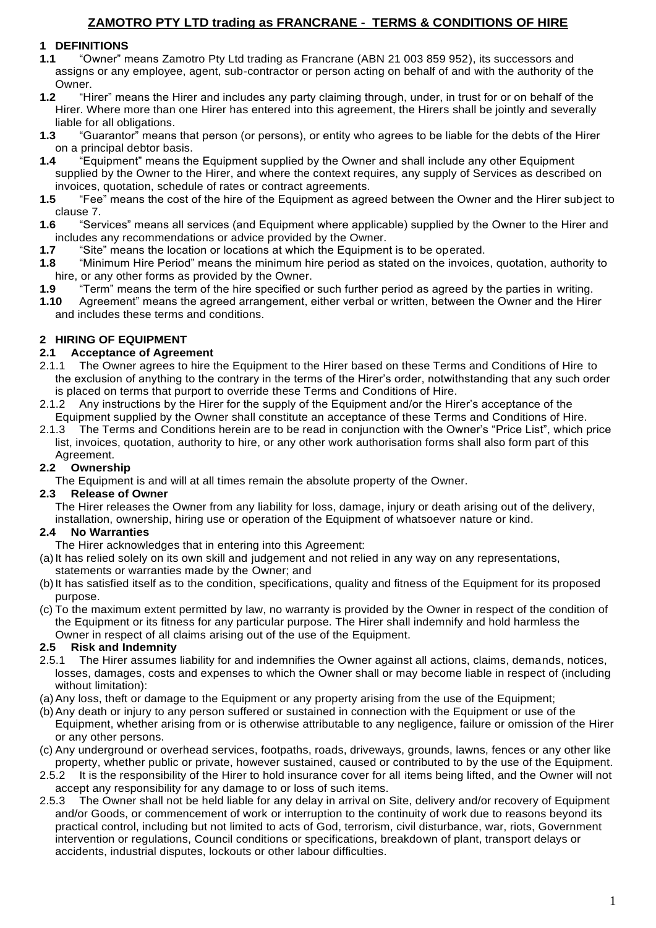## **1 DEFINITIONS**

- **1.1** "Owner" means Zamotro Pty Ltd trading as Francrane (ABN 21 003 859 952), its successors and assigns or any employee, agent, sub-contractor or person acting on behalf of and with the authority of the Owner.
- **1.2** "Hirer" means the Hirer and includes any party claiming through, under, in trust for or on behalf of the Hirer. Where more than one Hirer has entered into this agreement, the Hirers shall be jointly and severally liable for all obligations.
- **1.3** "Guarantor" means that person (or persons), or entity who agrees to be liable for the debts of the Hirer on a principal debtor basis.
- **1.4** "Equipment" means the Equipment supplied by the Owner and shall include any other Equipment supplied by the Owner to the Hirer, and where the context requires, any supply of Services as described on invoices, quotation, schedule of rates or contract agreements.
- **1.5** "Fee" means the cost of the hire of the Equipment as agreed between the Owner and the Hirer subject to clause 7.
- **1.6** "Services" means all services (and Equipment where applicable) supplied by the Owner to the Hirer and includes any recommendations or advice provided by the Owner.
- **1.7** "Site" means the location or locations at which the Equipment is to be operated.
- **1.8** "Minimum Hire Period" means the minimum hire period as stated on the invoices, quotation, authority to hire, or any other forms as provided by the Owner.
- **1.9** "Term" means the term of the hire specified or such further period as agreed by the parties in writing.
- **1.10** Agreement" means the agreed arrangement, either verbal or written, between the Owner and the Hirer and includes these terms and conditions.

## **2 HIRING OF EQUIPMENT**

## **2.1 Acceptance of Agreement**

- 2.1.1 The Owner agrees to hire the Equipment to the Hirer based on these Terms and Conditions of Hire to the exclusion of anything to the contrary in the terms of the Hirer's order, notwithstanding that any such order is placed on terms that purport to override these Terms and Conditions of Hire.
- 2.1.2 Any instructions by the Hirer for the supply of the Equipment and/or the Hirer's acceptance of the Equipment supplied by the Owner shall constitute an acceptance of these Terms and Conditions of Hire.
- 2.1.3 The Terms and Conditions herein are to be read in conjunction with the Owner's "Price List", which price list, invoices, quotation, authority to hire, or any other work authorisation forms shall also form part of this Agreement.

## **2.2 Ownership**

The Equipment is and will at all times remain the absolute property of the Owner.

#### **2.3 Release of Owner**

The Hirer releases the Owner from any liability for loss, damage, injury or death arising out of the delivery, installation, ownership, hiring use or operation of the Equipment of whatsoever nature or kind.

#### **2.4 No Warranties**

- The Hirer acknowledges that in entering into this Agreement:
- (a)It has relied solely on its own skill and judgement and not relied in any way on any representations, statements or warranties made by the Owner; and
- (b)It has satisfied itself as to the condition, specifications, quality and fitness of the Equipment for its proposed purpose.
- (c) To the maximum extent permitted by law, no warranty is provided by the Owner in respect of the condition of the Equipment or its fitness for any particular purpose. The Hirer shall indemnify and hold harmless the Owner in respect of all claims arising out of the use of the Equipment.

## **2.5 Risk and Indemnity**

- 2.5.1 The Hirer assumes liability for and indemnifies the Owner against all actions, claims, demands, notices, losses, damages, costs and expenses to which the Owner shall or may become liable in respect of (including without limitation):
- (a)Any loss, theft or damage to the Equipment or any property arising from the use of the Equipment;
- (b)Any death or injury to any person suffered or sustained in connection with the Equipment or use of the Equipment, whether arising from or is otherwise attributable to any negligence, failure or omission of the Hirer or any other persons.
- (c) Any underground or overhead services, footpaths, roads, driveways, grounds, lawns, fences or any other like property, whether public or private, however sustained, caused or contributed to by the use of the Equipment.
- 2.5.2 It is the responsibility of the Hirer to hold insurance cover for all items being lifted, and the Owner will not accept any responsibility for any damage to or loss of such items.
- 2.5.3 The Owner shall not be held liable for any delay in arrival on Site, delivery and/or recovery of Equipment and/or Goods, or commencement of work or interruption to the continuity of work due to reasons beyond its practical control, including but not limited to acts of God, terrorism, civil disturbance, war, riots, Government intervention or regulations, Council conditions or specifications, breakdown of plant, transport delays or accidents, industrial disputes, lockouts or other labour difficulties.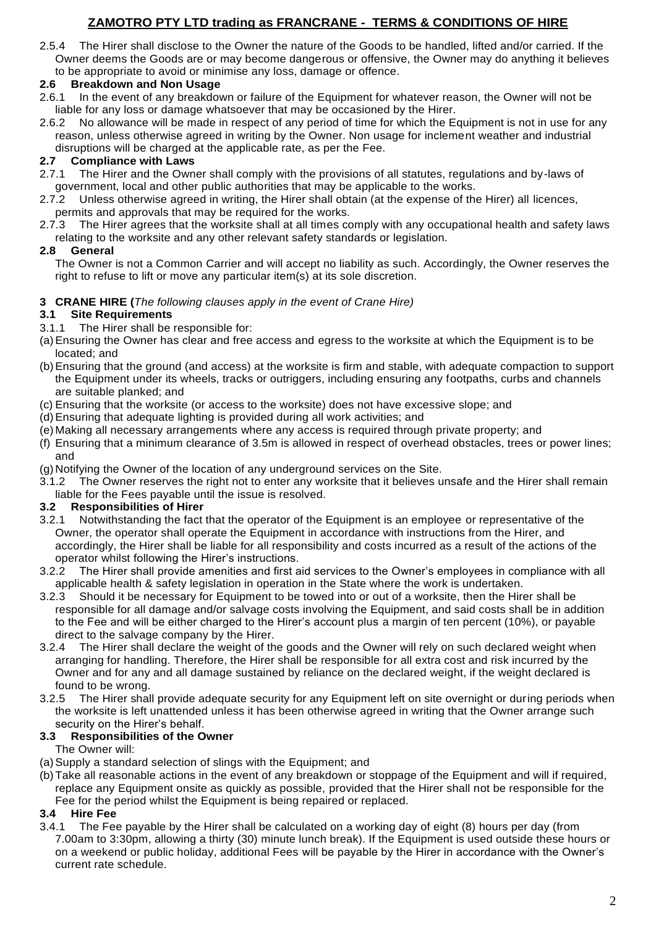2.5.4 The Hirer shall disclose to the Owner the nature of the Goods to be handled, lifted and/or carried. If the Owner deems the Goods are or may become dangerous or offensive, the Owner may do anything it believes to be appropriate to avoid or minimise any loss, damage or offence.

## **2.6 Breakdown and Non Usage**

- 2.6.1 In the event of any breakdown or failure of the Equipment for whatever reason, the Owner will not be liable for any loss or damage whatsoever that may be occasioned by the Hirer.
- 2.6.2 No allowance will be made in respect of any period of time for which the Equipment is not in use for any reason, unless otherwise agreed in writing by the Owner. Non usage for inclement weather and industrial disruptions will be charged at the applicable rate, as per the Fee.

## **2.7 Compliance with Laws**

- 2.7.1 The Hirer and the Owner shall comply with the provisions of all statutes, regulations and by-laws of government, local and other public authorities that may be applicable to the works.
- 2.7.2 Unless otherwise agreed in writing, the Hirer shall obtain (at the expense of the Hirer) all licences, permits and approvals that may be required for the works.
- 2.7.3 The Hirer agrees that the worksite shall at all times comply with any occupational health and safety laws relating to the worksite and any other relevant safety standards or legislation.

## **2.8 General**

The Owner is not a Common Carrier and will accept no liability as such. Accordingly, the Owner reserves the right to refuse to lift or move any particular item(s) at its sole discretion.

#### **3 CRANE HIRE (***The following clauses apply in the event of Crane Hire)*

#### **3.1 Site Requirements**

- 3.1.1 The Hirer shall be responsible for:
- (a)Ensuring the Owner has clear and free access and egress to the worksite at which the Equipment is to be located; and
- (b)Ensuring that the ground (and access) at the worksite is firm and stable, with adequate compaction to support the Equipment under its wheels, tracks or outriggers, including ensuring any footpaths, curbs and channels are suitable planked; and
- (c) Ensuring that the worksite (or access to the worksite) does not have excessive slope; and
- (d)Ensuring that adequate lighting is provided during all work activities; and
- (e) Making all necessary arrangements where any access is required through private property; and
- (f) Ensuring that a minimum clearance of 3.5m is allowed in respect of overhead obstacles, trees or power lines; and
- (g) Notifying the Owner of the location of any underground services on the Site.
- 3.1.2 The Owner reserves the right not to enter any worksite that it believes unsafe and the Hirer shall remain liable for the Fees payable until the issue is resolved.

## **3.2 Responsibilities of Hirer**

- 3.2.1 Notwithstanding the fact that the operator of the Equipment is an employee or representative of the Owner, the operator shall operate the Equipment in accordance with instructions from the Hirer, and accordingly, the Hirer shall be liable for all responsibility and costs incurred as a result of the actions of the operator whilst following the Hirer's instructions.
- 3.2.2 The Hirer shall provide amenities and first aid services to the Owner's employees in compliance with all applicable health & safety legislation in operation in the State where the work is undertaken.
- 3.2.3 Should it be necessary for Equipment to be towed into or out of a worksite, then the Hirer shall be responsible for all damage and/or salvage costs involving the Equipment, and said costs shall be in addition to the Fee and will be either charged to the Hirer's account plus a margin of ten percent (10%), or payable direct to the salvage company by the Hirer.
- 3.2.4 The Hirer shall declare the weight of the goods and the Owner will rely on such declared weight when arranging for handling. Therefore, the Hirer shall be responsible for all extra cost and risk incurred by the Owner and for any and all damage sustained by reliance on the declared weight, if the weight declared is found to be wrong.
- 3.2.5 The Hirer shall provide adequate security for any Equipment left on site overnight or during periods when the worksite is left unattended unless it has been otherwise agreed in writing that the Owner arrange such security on the Hirer's behalf.

## **3.3 Responsibilities of the Owner**

The Owner will:

- (a)Supply a standard selection of slings with the Equipment; and
- (b)Take all reasonable actions in the event of any breakdown or stoppage of the Equipment and will if required, replace any Equipment onsite as quickly as possible, provided that the Hirer shall not be responsible for the Fee for the period whilst the Equipment is being repaired or replaced.

#### **3.4 Hire Fee**

3.4.1 The Fee payable by the Hirer shall be calculated on a working day of eight (8) hours per day (from 7.00am to 3:30pm, allowing a thirty (30) minute lunch break). If the Equipment is used outside these hours or on a weekend or public holiday, additional Fees will be payable by the Hirer in accordance with the Owner's current rate schedule.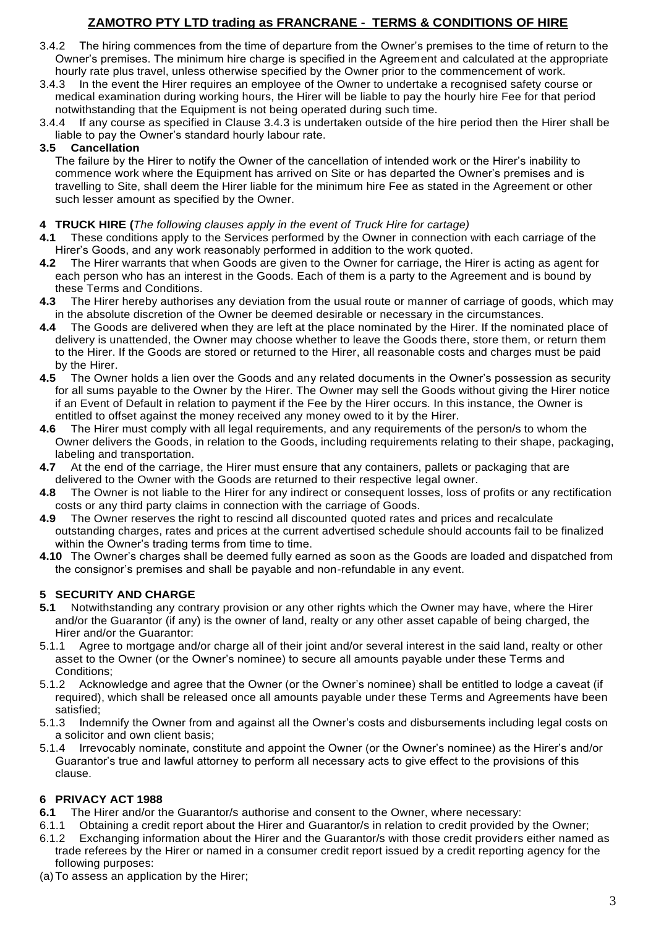- 3.4.2 The hiring commences from the time of departure from the Owner's premises to the time of return to the Owner's premises. The minimum hire charge is specified in the Agreement and calculated at the appropriate hourly rate plus travel, unless otherwise specified by the Owner prior to the commencement of work.
- 3.4.3 In the event the Hirer requires an employee of the Owner to undertake a recognised safety course or medical examination during working hours, the Hirer will be liable to pay the hourly hire Fee for that period notwithstanding that the Equipment is not being operated during such time.
- 3.4.4 If any course as specified in Clause 3.4.3 is undertaken outside of the hire period then the Hirer shall be liable to pay the Owner's standard hourly labour rate.

### **3.5 Cancellation**

The failure by the Hirer to notify the Owner of the cancellation of intended work or the Hirer's inability to commence work where the Equipment has arrived on Site or has departed the Owner's premises and is travelling to Site, shall deem the Hirer liable for the minimum hire Fee as stated in the Agreement or other such lesser amount as specified by the Owner.

#### **4 TRUCK HIRE (***The following clauses apply in the event of Truck Hire for cartage)*

- **4.1** These conditions apply to the Services performed by the Owner in connection with each carriage of the Hirer's Goods, and any work reasonably performed in addition to the work quoted.
- **4.2** The Hirer warrants that when Goods are given to the Owner for carriage, the Hirer is acting as agent for each person who has an interest in the Goods. Each of them is a party to the Agreement and is bound by these Terms and Conditions.
- **4.3** The Hirer hereby authorises any deviation from the usual route or manner of carriage of goods, which may in the absolute discretion of the Owner be deemed desirable or necessary in the circumstances.
- **4.4** The Goods are delivered when they are left at the place nominated by the Hirer. If the nominated place of delivery is unattended, the Owner may choose whether to leave the Goods there, store them, or return them to the Hirer. If the Goods are stored or returned to the Hirer, all reasonable costs and charges must be paid by the Hirer.
- **4.5** The Owner holds a lien over the Goods and any related documents in the Owner's possession as security for all sums payable to the Owner by the Hirer. The Owner may sell the Goods without giving the Hirer notice if an Event of Default in relation to payment if the Fee by the Hirer occurs. In this instance, the Owner is entitled to offset against the money received any money owed to it by the Hirer.
- **4.6** The Hirer must comply with all legal requirements, and any requirements of the person/s to whom the Owner delivers the Goods, in relation to the Goods, including requirements relating to their shape, packaging, labeling and transportation.
- **4.7** At the end of the carriage, the Hirer must ensure that any containers, pallets or packaging that are delivered to the Owner with the Goods are returned to their respective legal owner.
- **4.8** The Owner is not liable to the Hirer for any indirect or consequent losses, loss of profits or any rectification costs or any third party claims in connection with the carriage of Goods.
- **4.9** The Owner reserves the right to rescind all discounted quoted rates and prices and recalculate outstanding charges, rates and prices at the current advertised schedule should accounts fail to be finalized within the Owner's trading terms from time to time.
- **4.10** The Owner's charges shall be deemed fully earned as soon as the Goods are loaded and dispatched from the consignor's premises and shall be payable and non-refundable in any event.

## **5 SECURITY AND CHARGE**

- **5.1** Notwithstanding any contrary provision or any other rights which the Owner may have, where the Hirer and/or the Guarantor (if any) is the owner of land, realty or any other asset capable of being charged, the Hirer and/or the Guarantor:
- 5.1.1 Agree to mortgage and/or charge all of their joint and/or several interest in the said land, realty or other asset to the Owner (or the Owner's nominee) to secure all amounts payable under these Terms and Conditions;
- 5.1.2 Acknowledge and agree that the Owner (or the Owner's nominee) shall be entitled to lodge a caveat (if required), which shall be released once all amounts payable under these Terms and Agreements have been satisfied;
- 5.1.3 Indemnify the Owner from and against all the Owner's costs and disbursements including legal costs on a solicitor and own client basis;
- 5.1.4 Irrevocably nominate, constitute and appoint the Owner (or the Owner's nominee) as the Hirer's and/or Guarantor's true and lawful attorney to perform all necessary acts to give effect to the provisions of this clause.

#### **6 PRIVACY ACT 1988**

- **6.1** The Hirer and/or the Guarantor/s authorise and consent to the Owner, where necessary:
- 6.1.1 Obtaining a credit report about the Hirer and Guarantor/s in relation to credit provided by the Owner; 6.1.2 Exchanging information about the Hirer and the Guarantor/s with those credit providers either named as
- trade referees by the Hirer or named in a consumer credit report issued by a credit reporting agency for the following purposes:
- (a)To assess an application by the Hirer;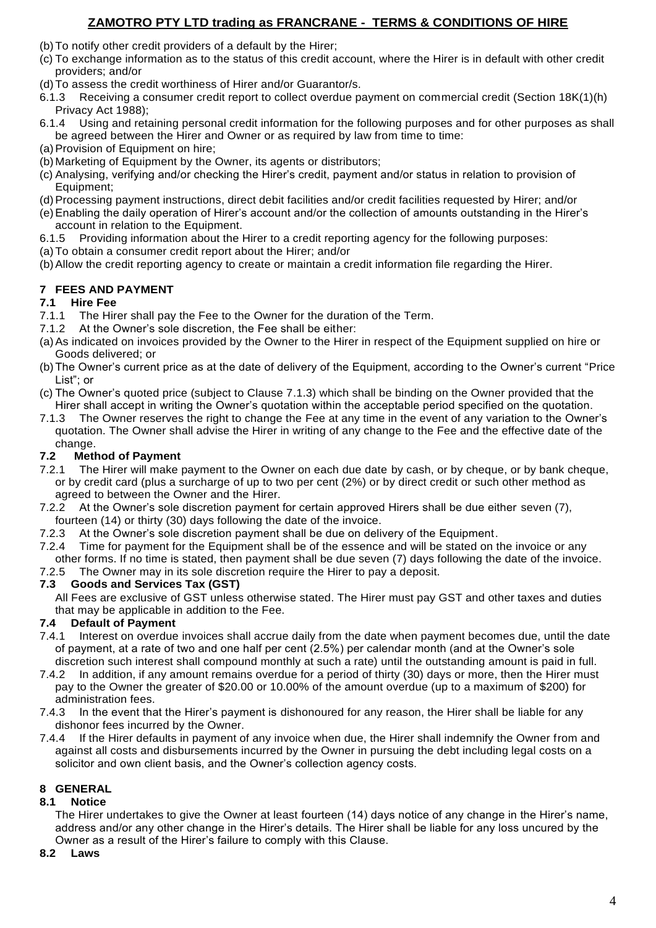- (b)To notify other credit providers of a default by the Hirer;
- (c) To exchange information as to the status of this credit account, where the Hirer is in default with other credit providers; and/or
- (d)To assess the credit worthiness of Hirer and/or Guarantor/s.
- 6.1.3 Receiving a consumer credit report to collect overdue payment on commercial credit (Section 18K(1)(h) Privacy Act 1988);
- 6.1.4 Using and retaining personal credit information for the following purposes and for other purposes as shall be agreed between the Hirer and Owner or as required by law from time to time:
- (a) Provision of Equipment on hire:
- (b) Marketing of Equipment by the Owner, its agents or distributors;
- (c) Analysing, verifying and/or checking the Hirer's credit, payment and/or status in relation to provision of Equipment;
- (d)Processing payment instructions, direct debit facilities and/or credit facilities requested by Hirer; and/or
- (e)Enabling the daily operation of Hirer's account and/or the collection of amounts outstanding in the Hirer's account in relation to the Equipment.
- 6.1.5 Providing information about the Hirer to a credit reporting agency for the following purposes:
- (a)To obtain a consumer credit report about the Hirer; and/or
- (b)Allow the credit reporting agency to create or maintain a credit information file regarding the Hirer.

## **7 FEES AND PAYMENT**

## **7.1 Hire Fee**

- 7.1.1 The Hirer shall pay the Fee to the Owner for the duration of the Term.
- 7.1.2 At the Owner's sole discretion, the Fee shall be either:
- (a)As indicated on invoices provided by the Owner to the Hirer in respect of the Equipment supplied on hire or Goods delivered; or
- (b)The Owner's current price as at the date of delivery of the Equipment, according to the Owner's current "Price List"; or
- (c) The Owner's quoted price (subject to Clause 7.1.3) which shall be binding on the Owner provided that the Hirer shall accept in writing the Owner's quotation within the acceptable period specified on the quotation.
- 7.1.3 The Owner reserves the right to change the Fee at any time in the event of any variation to the Owner's quotation. The Owner shall advise the Hirer in writing of any change to the Fee and the effective date of the change.

## **7.2 Method of Payment**

- 7.2.1 The Hirer will make payment to the Owner on each due date by cash, or by cheque, or by bank cheque, or by credit card (plus a surcharge of up to two per cent (2%) or by direct credit or such other method as agreed to between the Owner and the Hirer.
- 7.2.2 At the Owner's sole discretion payment for certain approved Hirers shall be due either seven (7), fourteen (14) or thirty (30) days following the date of the invoice.
- 7.2.3 At the Owner's sole discretion payment shall be due on delivery of the Equipment.
- 7.2.4 Time for payment for the Equipment shall be of the essence and will be stated on the invoice or any other forms. If no time is stated, then payment shall be due seven (7) days following the date of the invoice.
- 7.2.5 The Owner may in its sole discretion require the Hirer to pay a deposit.

## **7.3 Goods and Services Tax (GST)**

All Fees are exclusive of GST unless otherwise stated. The Hirer must pay GST and other taxes and duties that may be applicable in addition to the Fee.

## **7.4 Default of Payment**

- 7.4.1 Interest on overdue invoices shall accrue daily from the date when payment becomes due, until the date of payment, at a rate of two and one half per cent (2.5%) per calendar month (and at the Owner's sole discretion such interest shall compound monthly at such a rate) until the outstanding amount is paid in full.
- 7.4.2 In addition, if any amount remains overdue for a period of thirty (30) days or more, then the Hirer must pay to the Owner the greater of \$20.00 or 10.00% of the amount overdue (up to a maximum of \$200) for administration fees.
- 7.4.3 In the event that the Hirer's payment is dishonoured for any reason, the Hirer shall be liable for any dishonor fees incurred by the Owner.
- 7.4.4 If the Hirer defaults in payment of any invoice when due, the Hirer shall indemnify the Owner from and against all costs and disbursements incurred by the Owner in pursuing the debt including legal costs on a solicitor and own client basis, and the Owner's collection agency costs.

## **8 GENERAL**

## **8.1 Notice**

The Hirer undertakes to give the Owner at least fourteen (14) days notice of any change in the Hirer's name, address and/or any other change in the Hirer's details. The Hirer shall be liable for any loss uncured by the Owner as a result of the Hirer's failure to comply with this Clause.

#### **8.2 Laws**